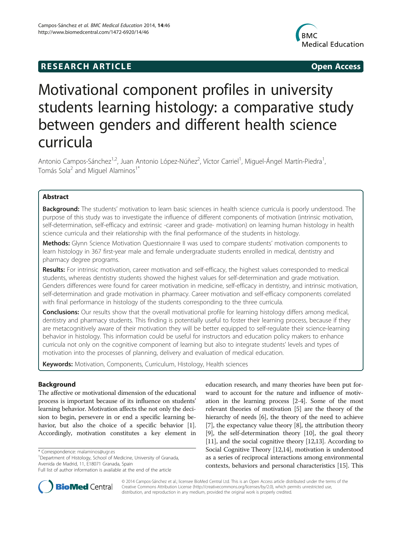## **RESEARCH ARTICLE Example 2014 CONSIDERING CONSIDERING CONSIDERING CONSIDERING CONSIDERING CONSIDERING CONSIDERING CONSIDERING CONSIDERING CONSIDERING CONSIDERING CONSIDERING CONSIDERING CONSIDERING CONSIDERING CONSIDE**



# Motivational component profiles in university students learning histology: a comparative study between genders and different health science curricula

Antonio Campos-Sánchez<sup>1,2</sup>, Juan Antonio López-Núñez<sup>2</sup>, Víctor Carriel<sup>1</sup>, Miguel-Ángel Martín-Piedra<sup>1</sup> , Tomás Sola<sup>2</sup> and Miguel Alaminos<sup>1\*</sup>

## Abstract

Background: The students' motivation to learn basic sciences in health science curricula is poorly understood. The purpose of this study was to investigate the influence of different components of motivation (intrinsic motivation, self-determination, self-efficacy and extrinsic -career and grade- motivation) on learning human histology in health science curricula and their relationship with the final performance of the students in histology.

Methods: Glynn Science Motivation Questionnaire II was used to compare students' motivation components to learn histology in 367 first-year male and female undergraduate students enrolled in medical, dentistry and pharmacy degree programs.

Results: For intrinsic motivation, career motivation and self-efficacy, the highest values corresponded to medical students, whereas dentistry students showed the highest values for self-determination and grade motivation. Genders differences were found for career motivation in medicine, self-efficacy in dentistry, and intrinsic motivation, self-determination and grade motivation in pharmacy. Career motivation and self-efficacy components correlated with final performance in histology of the students corresponding to the three curricula.

**Conclusions:** Our results show that the overall motivational profile for learning histology differs among medical, dentistry and pharmacy students. This finding is potentially useful to foster their learning process, because if they are metacognitively aware of their motivation they will be better equipped to self-regulate their science-learning behavior in histology. This information could be useful for instructors and education policy makers to enhance curricula not only on the cognitive component of learning but also to integrate students' levels and types of motivation into the processes of planning, delivery and evaluation of medical education.

Keywords: Motivation, Components, Curriculum, Histology, Health sciences

## Background

The affective or motivational dimension of the educational process is important because of its influence on students' learning behavior. Motivation affects the not only the decision to begin, persevere in or end a specific learning behavior, but also the choice of a specific behavior [[1](#page-11-0)]. Accordingly, motivation constitutes a key element in

\* Correspondence: [malaminos@ugr.es](mailto:malaminos@ugr.es) <sup>1</sup>

education research, and many theories have been put forward to account for the nature and influence of motivation in the learning process [[2-4\]](#page-11-0). Some of the most relevant theories of motivation [\[5\]](#page-11-0) are the theory of the hierarchy of needs [\[6\]](#page-11-0), the theory of the need to achieve [[7\]](#page-11-0), the expectancy value theory [[8\]](#page-11-0), the attribution theory [[9\]](#page-11-0), the self-determination theory [\[10\]](#page-11-0), the goal theory [[11](#page-11-0)], and the social cognitive theory [\[12,13](#page-11-0)]. According to Social Cognitive Theory [[12,14\]](#page-11-0), motivation is understood as a series of reciprocal interactions among environmental contexts, behaviors and personal characteristics [[15](#page-11-0)]. This



© 2014 Campos-Sánchez et al.; licensee BioMed Central Ltd. This is an Open Access article distributed under the terms of the Creative Commons Attribution License (<http://creativecommons.org/licenses/by/2.0>), which permits unrestricted use, distribution, and reproduction in any medium, provided the original work is properly credited.

<sup>&</sup>lt;sup>1</sup>Department of Histology, School of Medicine, University of Granada, Avenida de Madrid, 11, E18071 Granada, Spain

Full list of author information is available at the end of the article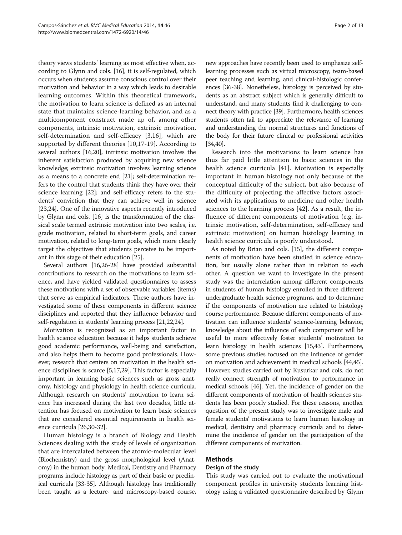theory views students' learning as most effective when, according to Glynn and cols. [\[16\]](#page-11-0), it is self-regulated, which occurs when students assume conscious control over their motivation and behavior in a way which leads to desirable learning outcomes. Within this theoretical framework, the motivation to learn science is defined as an internal state that maintains science-learning behavior, and as a multicomponent construct made up of, among other components, intrinsic motivation, extrinsic motivation, self-determination and self-efficacy [\[3](#page-11-0),[16\]](#page-11-0), which are supported by different theories [[10,17](#page-11-0)-[19\]](#page-11-0). According to several authors [[16](#page-11-0),[20](#page-11-0)], intrinsic motivation involves the inherent satisfaction produced by acquiring new science knowledge; extrinsic motivation involves learning science as a means to a concrete end [\[21\]](#page-11-0); self-determination refers to the control that students think they have over their science learning [[22](#page-11-0)]; and self-efficacy refers to the students' conviction that they can achieve well in science [[23,24](#page-11-0)]. One of the innovative aspects recently introduced by Glynn and cols. [[16](#page-11-0)] is the transformation of the classical scale termed extrinsic motivation into two scales, i.e. grade motivation, related to short-term goals, and career motivation, related to long-term goals, which more clearly target the objectives that students perceive to be important in this stage of their education [[25](#page-11-0)].

Several authors [[16,26-28](#page-11-0)] have provided substantial contributions to research on the motivations to learn science, and have yielded validated questionnaires to assess these motivations with a set of observable variables (items) that serve as empirical indicators. These authors have investigated some of these components in different science disciplines and reported that they influence behavior and self-regulation in students' learning process [\[21,22](#page-11-0),[24](#page-11-0)].

Motivation is recognized as an important factor in health science education because it helps students achieve good academic performance, well-being and satisfaction, and also helps them to become good professionals. However, research that centers on motivation in the health science disciplines is scarce [\[5,17,29](#page-11-0)]. This factor is especially important in learning basic sciences such as gross anatomy, histology and physiology in health science curricula. Although research on students' motivation to learn science has increased during the last two decades, little attention has focused on motivation to learn basic sciences that are considered essential requirements in health science curricula [[26,30](#page-11-0)-[32](#page-11-0)].

Human histology is a branch of Biology and Health Sciences dealing with the study of levels of organization that are intercalated between the atomic-molecular level (Biochemistry) and the gross morphological level (Anatomy) in the human body. Medical, Dentistry and Pharmacy programs include histology as part of their basic or preclinical curricula [\[33-35\]](#page-11-0). Although histology has traditionally been taught as a lecture- and microscopy-based course,

new approaches have recently been used to emphasize selflearning processes such as virtual microscopy, team-based peer teaching and learning, and clinical-histologic conferences [\[36-38\]](#page-11-0). Nonetheless, histology is perceived by students as an abstract subject which is generally difficult to understand, and many students find it challenging to connect theory with practice [\[39\]](#page-11-0). Furthermore, health sciences students often fail to appreciate the relevance of learning and understanding the normal structures and functions of the body for their future clinical or professional activities [[34,40\]](#page-11-0).

Research into the motivations to learn science has thus far paid little attention to basic sciences in the health science curricula [[41\]](#page-11-0). Motivation is especially important in human histology not only because of the conceptual difficulty of the subject, but also because of the difficulty of projecting the affective factors associated with its applications to medicine and other health sciences to the learning process [[42\]](#page-11-0). As a result, the influence of different components of motivation (e.g. intrinsic motivation, self-determination, self-efficacy and extrinsic motivation) on human histology learning in health science curricula is poorly understood.

As noted by Brian and cols. [\[15\]](#page-11-0), the different components of motivation have been studied in science education, but usually alone rather than in relation to each other. A question we want to investigate in the present study was the interrelation among different components in students of human histology enrolled in three different undergraduate health science programs, and to determine if the components of motivation are related to histology course performance. Because different components of motivation can influence students' science-learning behavior, knowledge about the influence of each component will be useful to more effectively foster students' motivation to learn histology in health sciences [\[15,43](#page-11-0)]. Furthermore, some previous studies focused on the influence of gender on motivation and achievement in medical schools [\[44,45](#page-11-0)]. However, studies carried out by Kusurkar and cols. do not really connect strength of motivation to performance in medical schools [\[46](#page-11-0)]. Yet, the incidence of gender on the different components of motivation of health sciences students has been poorly studied. For these reasons, another question of the present study was to investigate male and female students' motivations to learn human histology in medical, dentistry and pharmacy curricula and to determine the incidence of gender on the participation of the different components of motivation.

## Methods

## Design of the study

This study was carried out to evaluate the motivational component profiles in university students learning histology using a validated questionnaire described by Glynn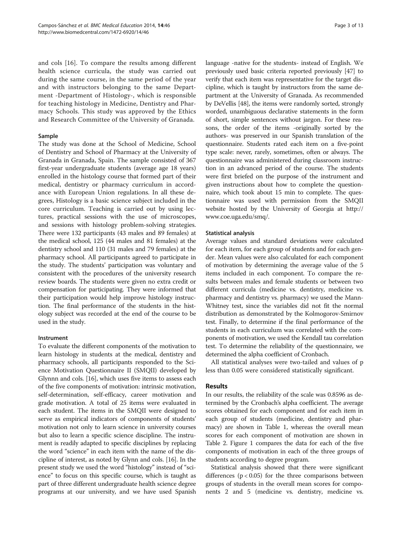and cols [\[16](#page-11-0)]. To compare the results among different health science curricula, the study was carried out during the same course, in the same period of the year and with instructors belonging to the same Department -Department of Histology-, which is responsible for teaching histology in Medicine, Dentistry and Pharmacy Schools. This study was approved by the Ethics and Research Committee of the University of Granada.

## Sample

The study was done at the School of Medicine, School of Dentistry and School of Pharmacy at the University of Granada in Granada, Spain. The sample consisted of 367 first-year undergraduate students (average age 18 years) enrolled in the histology course that formed part of their medical, dentistry or pharmacy curriculum in accordance with European Union regulations. In all these degrees, Histology is a basic science subject included in the core curriculum. Teaching is carried out by using lectures, practical sessions with the use of microscopes, and sessions with histology problem-solving strategies. There were 132 participants (43 males and 89 females) at the medical school, 125 (44 males and 81 females) at the dentistry school and 110 (31 males and 79 females) at the pharmacy school. All participants agreed to participate in the study. The students' participation was voluntary and consistent with the procedures of the university research review boards. The students were given no extra credit or compensation for participating. They were informed that their participation would help improve histology instruction. The final performance of the students in the histology subject was recorded at the end of the course to be used in the study.

## Instrument

To evaluate the different components of the motivation to learn histology in students at the medical, dentistry and pharmacy schools, all participants responded to the Science Motivation Questionnaire II (SMQII) developed by Glynnn and cols. [\[16\]](#page-11-0), which uses five items to assess each of the five components of motivation: intrinsic motivation, self-determination, self-efficacy, career motivation and grade motivation. A total of 25 items were evaluated in each student. The items in the SMQII were designed to serve as empirical indicators of components of students' motivation not only to learn science in university courses but also to learn a specific science discipline. The instrument is readily adapted to specific disciplines by replacing the word "science" in each item with the name of the discipline of interest, as noted by Glynn and cols. [[16](#page-11-0)]. In the present study we used the word "histology" instead of "science" to focus on this specific course, which is taught as part of three different undergraduate health science degree programs at our university, and we have used Spanish language -native for the students- instead of English. We previously used basic criteria reported previously [[47](#page-11-0)] to verify that each item was representative for the target discipline, which is taught by instructors from the same department at the University of Granada. As recommended by DeVellis [[48](#page-11-0)], the items were randomly sorted, strongly worded, unambiguous declarative statements in the form of short, simple sentences without jargon. For these reasons, the order of the items -originally sorted by the authors- was preserved in our Spanish translation of the questionnaire. Students rated each item on a five-point type scale: never, rarely, sometimes, often or always. The questionnaire was administered during classroom instruction in an advanced period of the course. The students were first briefed on the purpose of the instrument and given instructions about how to complete the questionnaire, which took about 15 min to complete. The questionnaire was used with permission from the SMQII website hosted by the University of Georgia at [http://](http://www.coe.uga.edu/smq/) [www.coe.uga.edu/smq/](http://www.coe.uga.edu/smq/).

## Statistical analysis

Average values and standard deviations were calculated for each item, for each group of students and for each gender. Mean values were also calculated for each component of motivation by determining the average value of the 5 items included in each component. To compare the results between males and female students or between two different curricula (medicine vs. dentistry, medicine vs. pharmacy and dentistry vs. pharmacy) we used the Mann-Whitney test, since the variables did not fit the normal distribution as demonstrated by the Kolmogorov-Smirnov test. Finally, to determine if the final performance of the students in each curriculum was correlated with the components of motivation, we used the Kendall tau correlation test. To determine the reliability of the questionnaire, we determined the alpha coefficient of Cronbach.

All statistical analyses were two-tailed and values of p less than 0.05 were considered statistically significant.

## Results

In our results, the reliability of the scale was 0.8596 as determined by the Cronbach's alpha coefficient. The average scores obtained for each component and for each item in each group of students (medicine, dentistry and pharmacy) are shown in Table [1](#page-3-0), whereas the overall mean scores for each component of motivation are shown in Table [2](#page-5-0). Figure [1](#page-5-0) compares the data for each of the five components of motivation in each of the three groups of students according to degree program.

Statistical analysis showed that there were significant differences  $(p < 0.05)$  for the three comparisons between groups of students in the overall mean scores for components 2 and 5 (medicine vs. dentistry, medicine vs.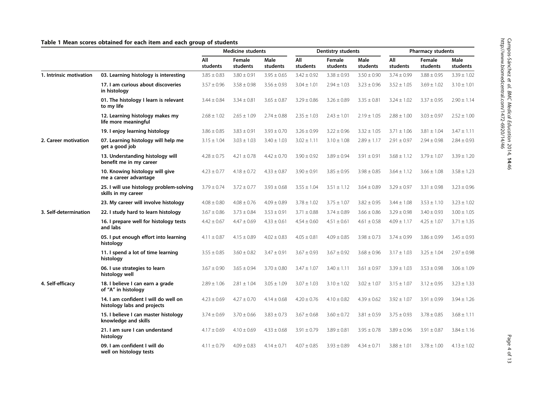## <span id="page-3-0"></span>Table 1 Mean scores obtained for each item and each group of students

|                         |                                                                     | <b>Medicine students</b> |                    | Dentistry students      |                 |                    | <b>Pharmacy students</b> |                 |                    |                  |
|-------------------------|---------------------------------------------------------------------|--------------------------|--------------------|-------------------------|-----------------|--------------------|--------------------------|-----------------|--------------------|------------------|
|                         |                                                                     | All<br>students          | Female<br>students | <b>Male</b><br>students | All<br>students | Female<br>students | Male<br>students         | All<br>students | Female<br>students | Male<br>students |
| 1. Intrinsic motivation | 03. Learning histology is interesting                               | $3.85 \pm 0.83$          | $3.80 \pm 0.91$    | $3.95 \pm 0.65$         | $3.42 \pm 0.92$ | $3.38 \pm 0.93$    | $3.50 \pm 0.90$          | $3.74 \pm 0.99$ | $3.88 \pm 0.95$    | $3.39 \pm 1.02$  |
|                         | 17. I am curious about discoveries<br>in histology                  | $3.57 \pm 0.96$          | $3.58 \pm 0.98$    | $3.56 \pm 0.93$         | $3.04 \pm 1.01$ | $2.94 \pm 1.03$    | $3.23 \pm 0.96$          | $3.52 \pm 1.05$ | $3.69 \pm 1.02$    | $3.10 \pm 1.01$  |
|                         | 01. The histology I learn is relevant<br>to my life                 | $3.44 \pm 0.84$          | $3.34 \pm 0.81$    | $3.65 \pm 0.87$         | $3.29 \pm 0.86$ | $3.26 \pm 0.89$    | $3.35 \pm 0.81$          | $3.24 \pm 1.02$ | $3.37 \pm 0.95$    | $2.90 \pm 1.14$  |
|                         | 12. Learning histology makes my<br>life more meaningful             | $2.68 \pm 1.02$          | $2.65 \pm 1.09$    | $2.74 \pm 0.88$         | $2.35 \pm 1.03$ | $2.43 \pm 1.01$    | $2.19 \pm 1.05$          | $2.88 \pm 1.00$ | $3.03 \pm 0.97$    | $2.52 \pm 1.00$  |
|                         | 19. I enjoy learning histology                                      | $3.86 \pm 0.85$          | $3.83 \pm 0.91$    | $3.93 \pm 0.70$         | $3.26 \pm 0.99$ | $3.22 \pm 0.96$    | $3.32 \pm 1.05$          | $3.71 \pm 1.06$ | $3.81 \pm 1.04$    | $3.47 \pm 1.11$  |
| 2. Career motivation    | 07. Learning histology will help me<br>get a good job               | $3.15 \pm 1.04$          | $3.03 \pm 1.03$    | $3.40 \pm 1.03$         | $3.02 \pm 1.11$ | $3.10 \pm 1.08$    | $2.89 \pm 1.17$          | $2.91 \pm 0.97$ | $2.94 \pm 0.98$    | $2.84 \pm 0.93$  |
|                         | 13. Understanding histology will<br>benefit me in my career         | $4.28 \pm 0.75$          | $4.21 \pm 0.78$    | $4.42 \pm 0.70$         | $3.90 \pm 0.92$ | $3.89 \pm 0.94$    | $3.91 \pm 0.91$          | $3.68 \pm 1.12$ | $3.79 \pm 1.07$    | $3.39 \pm 1.20$  |
|                         | 10. Knowing histology will give<br>me a career advantage            | $4.23 \pm 0.77$          | $4.18 \pm 0.72$    | $4.33 \pm 0.87$         | $3.90 \pm 0.91$ | $3.85 \pm 0.95$    | $3.98 \pm 0.85$          | $3.64 \pm 1.12$ | $3.66 \pm 1.08$    | $3.58 \pm 1.23$  |
|                         | 25. I will use histology problem-solving<br>skills in my career     | $3.79 \pm 0.74$          | $3.72 \pm 0.77$    | $3.93 \pm 0.68$         | $3.55 \pm 1.04$ | $3.51 \pm 1.12$    | $3.64 \pm 0.89$          | $3.29 \pm 0.97$ | $3.31 \pm 0.98$    | $3.23 \pm 0.96$  |
|                         | 23. My career will involve histology                                | $4.08 \pm 0.80$          | $4.08 \pm 0.76$    | $4.09 \pm 0.89$         | $3.78 \pm 1.02$ | $3.75 \pm 1.07$    | $3.82 \pm 0.95$          | $3.44 \pm 1.08$ | $3.53 \pm 1.10$    | $3.23 \pm 1.02$  |
| 3. Self-determination   | 22. I study hard to learn histology                                 | $3.67 \pm 0.86$          | $3.73 \pm 0.84$    | $3.53 \pm 0.91$         | $3.71 \pm 0.88$ | $3.74 \pm 0.89$    | $3.66 \pm 0.86$          | $3.29 \pm 0.98$ | $3.40 \pm 0.93$    | $3.00 \pm 1.05$  |
|                         | 16. I prepare well for histology tests<br>and labs                  | $4.42 \pm 0.67$          | $4.47 \pm 0.69$    | $4.33 \pm 0.61$         | $4.54 \pm 0.60$ | $4.51 \pm 0.61$    | $4.61 \pm 0.58$          | $4.09 \pm 1.17$ | $4.25 \pm 1.07$    | $3.71 \pm 1.35$  |
|                         | 05. I put enough effort into learning<br>histology                  | $4.11 \pm 0.87$          | $4.15 \pm 0.89$    | $4.02 \pm 0.83$         | $4.05 \pm 0.81$ | $4.09 \pm 0.85$    | $3.98 \pm 0.73$          | $3.74 \pm 0.99$ | $3.86 \pm 0.99$    | $3.45 \pm 0.93$  |
|                         | 11. I spend a lot of time learning<br>histology                     | $3.55 \pm 0.85$          | $3.60 \pm 0.82$    | $3.47 \pm 0.91$         | $3.67 \pm 0.93$ | $3.67 \pm 0.92$    | $3.68 \pm 0.96$          | $3.17 \pm 1.03$ | $3.25 \pm 1.04$    | $2.97 \pm 0.98$  |
|                         | 06. I use strategies to learn<br>histology well                     | $3.67 \pm 0.90$          | $3.65 \pm 0.94$    | $3.70 \pm 0.80$         | $3.47 \pm 1.07$ | $3.40 \pm 1.11$    | $3.61 \pm 0.97$          | $3.39 \pm 1.03$ | $3.53 \pm 0.98$    | $3.06 \pm 1.09$  |
| 4. Self-efficacy        | 18. I believe I can earn a grade<br>of "A" in histology             | $2.89 \pm 1.06$          | $2.81 \pm 1.04$    | $3.05 \pm 1.09$         | $3.07 \pm 1.03$ | $3.10 \pm 1.02$    | $3.02 \pm 1.07$          | $3.15 \pm 1.07$ | $3.12 \pm 0.95$    | $3.23 \pm 1.33$  |
|                         | 14. I am confident I will do well on<br>histology labs and projects | $4.23 \pm 0.69$          | $4.27 \pm 0.70$    | $4.14 \pm 0.68$         | $4.20 \pm 0.76$ | $4.10 \pm 0.82$    | $4.39 \pm 0.62$          | $3.92 \pm 1.07$ | $3.91 \pm 0.99$    | $3.94 \pm 1.26$  |
|                         | 15. I believe I can master histology<br>knowledge and skills        | $3.74 \pm 0.69$          | $3.70 \pm 0.66$    | $3.83 \pm 0.73$         | $3.67 \pm 0.68$ | $3.60 \pm 0.72$    | $3.81 \pm 0.59$          | $3.75 \pm 0.93$ | $3.78 \pm 0.85$    | $3.68 \pm 1.11$  |
|                         | 21. I am sure I can understand<br>histology                         | $4.17 \pm 0.69$          | $4.10 \pm 0.69$    | $4.33 \pm 0.68$         | $3.91 \pm 0.79$ | $3.89 \pm 0.81$    | $3.95 \pm 0.78$          | $3.89 \pm 0.96$ | $3.91 \pm 0.87$    | $3.84 \pm 1.16$  |
|                         | 09. I am confident I will do<br>well on histology tests             | $4.11 \pm 0.79$          | $4.09 \pm 0.83$    | $4.14 \pm 0.71$         | $4.07 \pm 0.85$ | $3.93 \pm 0.89$    | $4.34 \pm 0.71$          | $3.88 \pm 1.01$ | $3.78 \pm 1.00$    | $4.13 \pm 1.02$  |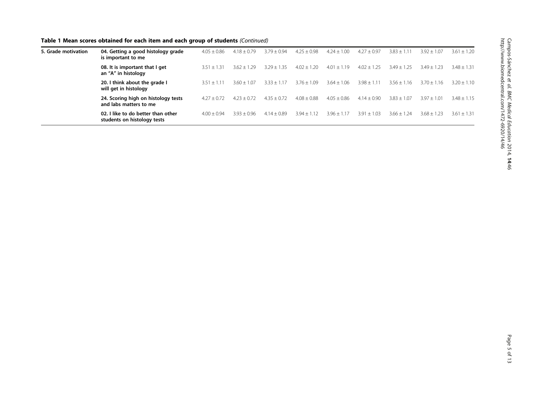Table 1 Mean scores obtained for each item and each group of students (Continued)

| 5. Grade motivation | 04. Getting a good histology grade<br>is important to me          | $4.05 \pm 0.86$ | $4.18 \pm 0.79$ | $3.79 \pm 0.94$ | $4.25 \pm 0.98$ | $4.24 \pm 1.00$ | $4.27 \pm 0.97$ | $3.83 \pm 1.11$ | $3.92 \pm 1.07$ | $3.61 \pm 1.20$ |
|---------------------|-------------------------------------------------------------------|-----------------|-----------------|-----------------|-----------------|-----------------|-----------------|-----------------|-----------------|-----------------|
|                     | 08. It is important that I get<br>an "A" in histology             | $3.51 + 1.31$   | $3.62 \pm 1.29$ | $3.29 \pm 1.35$ | $4.02 \pm 1.20$ | $4.01 \pm 1.19$ | $4.02 \pm 1.25$ | $3.49 \pm 1.25$ | $3.49 \pm 1.23$ | $3.48 \pm 1.31$ |
|                     | 20. I think about the grade I<br>will get in histology            | $3.51 + 1.11$   | $3.60 + 1.07$   | $3.33 \pm 1.17$ | $3.76 + 1.09$   | $3.64 \pm 1.06$ | $3.98 \pm 1.11$ | $3.56 \pm 1.16$ | $3.70 + 1.16$   | $3.20 \pm 1.10$ |
|                     | 24. Scoring high on histology tests<br>and labs matters to me     | $4.27 \pm 0.72$ | $4.23 + 0.72$   | $4.35 \pm 0.72$ | $4.08 \pm 0.88$ | $4.05 \pm 0.86$ | $4.14 \pm 0.90$ | $3.83 \pm 1.07$ | $3.97 \pm 1.01$ | $3.48 \pm 1.15$ |
|                     | 02. I like to do better than other<br>students on histology tests | $4.00 \pm 0.94$ | $3.93 + 0.96$   | $4.14 + 0.89$   | $3.94 + 1.12$   | $3.96 + 1$      | $3.91 + 1.03$   | $3.66 + 1.24$   | $3.68 + 1.23$   | $3.61 + 1.31$   |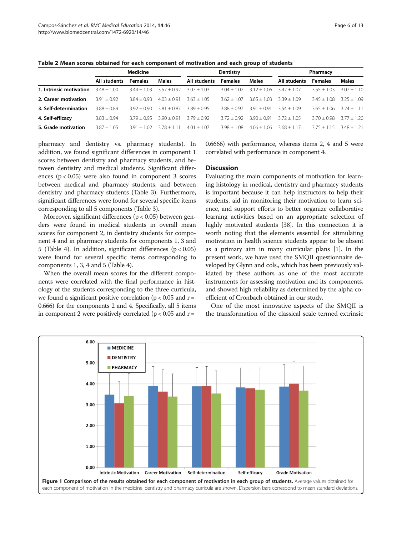| Page 6 of 13 |  |  |
|--------------|--|--|
|              |  |  |

<span id="page-5-0"></span>Table 2 Mean scores obtained for each component of motivation and each group of students

|                         | Medicine      |                |              |               | Dentistry      |                    | Pharmacy      |                |               |  |
|-------------------------|---------------|----------------|--------------|---------------|----------------|--------------------|---------------|----------------|---------------|--|
|                         | All students  | <b>Females</b> | <b>Males</b> | All students  | <b>Females</b> | <b>Males</b>       | All students  | <b>Females</b> | <b>Males</b>  |  |
| 1. Intrinsic motivation | $3.48 + 1.00$ | $3.44 + 1.03$  | $357 + 092$  | $307 + 103$   | $304 + 102$    | $312 + 1$<br>l 06. | $342 + 107$   | $3.55 + 1.03$  | $3.07 + 1.10$ |  |
| 2. Career motivation    | $3.91 + 0.92$ | $3.84 + 0.93$  | $403 + 091$  | $3.63 + 1.05$ | $362 + 107$    | $3.65 + 1$<br>l 03 | $3.39 + 1.09$ | $3.45 + 1.08$  | $3.25 + 1.09$ |  |
| 3. Self-determination   | $3.88 + 0.89$ | $392 + 090$    | $381 + 087$  | $3.89 + 0.95$ | $3.88 + 0.97$  | $3.91 + 0.91$      | $3.54 + 1.09$ | $3.65 + 1.06$  | $3.24 + 1.11$ |  |
| 4. Self-efficacy        | $3.83 + 0.94$ | $379 + 095$    | $390 + 091$  | $379 + 092$   | $372 + 092$    | $390 + 091$        | $372 + 105$   | $370 + 098$    | $3.77 + 1.20$ |  |
| 5. Grade motivation     | $3.87 + 1.05$ | $391 + 102$    | $378 + 111$  | $4.01 + 1.07$ | $3.98 + 1.08$  | $4.06 + 1.06$      | $3.68 + 1.17$ | $375 + 115$    | $3.48 + 1.21$ |  |

pharmacy and dentistry vs. pharmacy students). In addition, we found significant differences in component 1 scores between dentistry and pharmacy students, and between dentistry and medical students. Significant differences (p < 0.05) were also found in component 3 scores between medical and pharmacy students, and between dentistry and pharmacy students (Table [3](#page-6-0)). Furthermore, significant differences were found for several specific items corresponding to all 5 components (Table [3](#page-6-0)).

Moreover, significant differences (p < 0.05) between genders were found in medical students in overall mean scores for component 2, in dentistry students for component 4 and in pharmacy students for components 1, 3 and 5 (Table [4\)](#page-8-0). In addition, significant differences  $(p < 0.05)$ were found for several specific items corresponding to components 1, 3, 4 and 5 (Table [4](#page-8-0)).

When the overall mean scores for the different components were correlated with the final performance in histology of the students corresponding to the three curricula, we found a significant positive correlation ( $p < 0.05$  and  $r =$ 0.666) for the components 2 and 4. Specifically, all 5 items in component 2 were positively correlated ( $p < 0.05$  and  $r =$ 

0.6666) with performance, whereas items 2, 4 and 5 were correlated with performance in component 4.

## **Discussion**

Evaluating the main components of motivation for learning histology in medical, dentistry and pharmacy students is important because it can help instructors to help their students, aid in monitoring their motivation to learn science, and support efforts to better organize collaborative learning activities based on an appropriate selection of highly motivated students [\[38\]](#page-11-0). In this connection it is worth noting that the elements essential for stimulating motivation in health science students appear to be absent as a primary aim in many curricular plans [\[1](#page-11-0)]. In the present work, we have used the SMQII questionnaire developed by Glynn and cols., which has been previously validated by these authors as one of the most accurate instruments for assessing motivation and its components, and showed high reliability as determined by the alpha coefficient of Cronbach obtained in our study.

One of the most innovative aspects of the SMQII is the transformation of the classical scale termed extrinsic

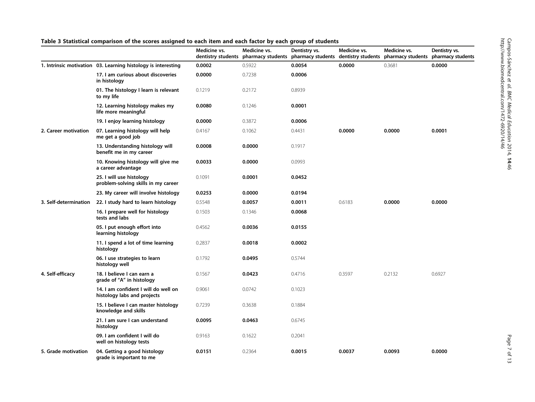| š<br>てここ<br>ipos-Sánchez et al. BMC Medical Education 2014, 14:46<br>www.biomedcentral.com/1472-6920/14/46<br>š |
|-----------------------------------------------------------------------------------------------------------------|
|-----------------------------------------------------------------------------------------------------------------|

## <span id="page-6-0"></span>Table 3 Statistical comparison of the scores assigned to each item and each factor by each group of students

|                       |                                                                     | Medicine vs.<br>dentistry students | Medicine vs.<br>pharmacy students | Dentistry vs. | Medicine vs. | Medicine vs.<br>pharmacy students dentistry students pharmacy students | Dentistry vs.<br>pharmacy students |
|-----------------------|---------------------------------------------------------------------|------------------------------------|-----------------------------------|---------------|--------------|------------------------------------------------------------------------|------------------------------------|
|                       | 1. Intrinsic motivation 03. Learning histology is interesting       | 0.0002                             | 0.5922                            | 0.0054        | 0.0000       | 0.3681                                                                 | 0.0000                             |
|                       | 17. I am curious about discoveries<br>in histology                  | 0.0000                             | 0.7238                            | 0.0006        |              |                                                                        |                                    |
|                       | 01. The histology I learn is relevant<br>to my life                 | 0.1219                             | 0.2172                            | 0.8939        |              |                                                                        |                                    |
|                       | 12. Learning histology makes my<br>life more meaningful             | 0.0080                             | 0.1246                            | 0.0001        |              |                                                                        |                                    |
|                       | 19. I enjoy learning histology                                      | 0.0000                             | 0.3872                            | 0.0006        |              |                                                                        |                                    |
| 2. Career motivation  | 07. Learning histology will help<br>me get a good job               | 0.4167                             | 0.1062                            | 0.4431        | 0.0000       | 0.0000                                                                 | 0.0001                             |
|                       | 13. Understanding histology will<br>benefit me in my career         | 0.0008                             | 0.0000                            | 0.1917        |              |                                                                        |                                    |
|                       | 10. Knowing histology will give me<br>a career advantage            | 0.0033                             | 0.0000                            | 0.0993        |              |                                                                        |                                    |
|                       | 25. I will use histology<br>problem-solving skills in my career     | 0.1091                             | 0.0001                            | 0.0452        |              |                                                                        |                                    |
|                       | 23. My career will involve histology                                | 0.0253                             | 0.0000                            | 0.0194        |              |                                                                        |                                    |
| 3. Self-determination | 22. I study hard to learn histology                                 | 0.5548                             | 0.0057                            | 0.0011        | 0.6183       | 0.0000                                                                 | 0.0000                             |
|                       | 16. I prepare well for histology<br>tests and labs                  | 0.1503                             | 0.1346                            | 0.0068        |              |                                                                        |                                    |
|                       | 05. I put enough effort into<br>learning histology                  | 0.4562                             | 0.0036                            | 0.0155        |              |                                                                        |                                    |
|                       | 11. I spend a lot of time learning<br>histology                     | 0.2837                             | 0.0018                            | 0.0002        |              |                                                                        |                                    |
|                       | 06. I use strategies to learn<br>histology well                     | 0.1792                             | 0.0495                            | 0.5744        |              |                                                                        |                                    |
| 4. Self-efficacy      | 18. I believe I can earn a<br>grade of "A" in histology             | 0.1567                             | 0.0423                            | 0.4716        | 0.3597       | 0.2132                                                                 | 0.6927                             |
|                       | 14. I am confident I will do well on<br>histology labs and projects | 0.9061                             | 0.0742                            | 0.1023        |              |                                                                        |                                    |
|                       | 15. I believe I can master histology<br>knowledge and skills        | 0.7239                             | 0.3638                            | 0.1884        |              |                                                                        |                                    |
|                       | 21. I am sure I can understand<br>histology                         | 0.0095                             | 0.0463                            | 0.6745        |              |                                                                        |                                    |
|                       | 09. I am confident I will do<br>well on histology tests             | 0.9163                             | 0.1622                            | 0.2041        |              |                                                                        |                                    |
| 5. Grade motivation   | 04. Getting a good histology<br>grade is important to me            | 0.0151                             | 0.2364                            | 0.0015        | 0.0037       | 0.0093                                                                 | 0.0000                             |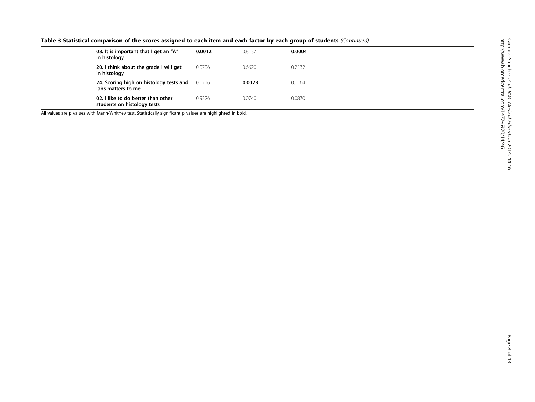|  | Table 3 Statistical comparison of the scores assigned to each item and each factor by each group of students (Continued) |
|--|--------------------------------------------------------------------------------------------------------------------------|
|--|--------------------------------------------------------------------------------------------------------------------------|

| 08. It is important that I get an "A"<br>in histology             | 0.0012 | 0.8137 | 0.0004 |
|-------------------------------------------------------------------|--------|--------|--------|
| 20. I think about the grade I will get<br>in histology            | 0.0706 | 0.6620 | 0.2132 |
| 24. Scoring high on histology tests and<br>labs matters to me     | 0.1216 | 0.0023 | 0.1164 |
| 02. I like to do better than other<br>students on histology tests | 0.9226 | 0.0740 | 0.0870 |

All values are p values with Mann-Whitney test. Statistically significant p values are highlighted in bold.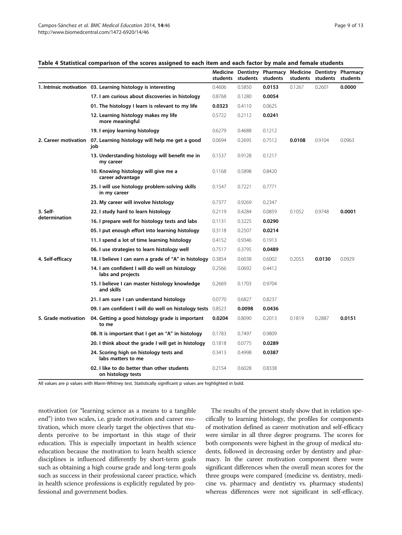#### <span id="page-8-0"></span>Table 4 Statistical comparison of the scores assigned to each item and each factor by male and female students

|                           |                                                                            |        | students students | Medicine Dentistry Pharmacy<br>students | students | students | Medicine Dentistry Pharmacy<br>students |
|---------------------------|----------------------------------------------------------------------------|--------|-------------------|-----------------------------------------|----------|----------|-----------------------------------------|
|                           | 1. Intrinsic motivation 03. Learning histology is interesting              | 0.4606 | 0.5850            | 0.0153                                  | 0.1267   | 0.2601   | 0.0000                                  |
|                           | 17. I am curious about discoveries in histology                            | 0.8768 | 0.1280            | 0.0054                                  |          |          |                                         |
|                           | 01. The histology I learn is relevant to my life                           | 0.0323 | 0.4110            | 0.0625                                  |          |          |                                         |
|                           | 12. Learning histology makes my life<br>more meaningful                    | 0.5722 | 0.2112            | 0.0241                                  |          |          |                                         |
|                           | 19. I enjoy learning histology                                             | 0.6279 | 0.4688            | 0.1212                                  |          |          |                                         |
|                           | 2. Career motivation 07. Learning histology will help me get a good<br>iob | 0.0694 | 0.2695            | 0.7512                                  | 0.0108   | 0.9104   | 0.0963                                  |
|                           | 13. Understanding histology will benefit me in<br>my career                | 0.1537 | 0.9128            | 0.1217                                  |          |          |                                         |
|                           | 10. Knowing histology will give me a<br>career advantage                   | 0.1168 | 0.5898            | 0.8420                                  |          |          |                                         |
|                           | 25. I will use histology problem-solving skills<br>in my career            | 0.1547 | 0.7221            | 0.7771                                  |          |          |                                         |
|                           | 23. My career will involve histology                                       | 0.7377 | 0.9269            | 0.2347                                  |          |          |                                         |
| 3. Self-<br>determination | 22. I study hard to learn histology                                        | 0.2119 | 0.4284            | 0.0859                                  | 0.1052   | 0.9748   | 0.0001                                  |
|                           | 16. I prepare well for histology tests and labs                            | 0.1131 | 0.3225            | 0.0290                                  |          |          |                                         |
|                           | 05. I put enough effort into learning histology                            | 0.3118 | 0.2507            | 0.0214                                  |          |          |                                         |
|                           | 11. I spend a lot of time learning histology                               | 0.4152 | 0.9346            | 0.1913                                  |          |          |                                         |
|                           | 06. I use strategies to learn histology well                               | 0.7517 | 0.3795            | 0.0489                                  |          |          |                                         |
| 4. Self-efficacy          | 18. I believe I can earn a grade of "A" in histology                       | 0.3854 | 0.6038            | 0.6002                                  | 0.2053   | 0.0130   | 0.0929                                  |
|                           | 14. I am confident I will do well on histology<br>labs and projects        | 0.2566 | 0.0692            | 0.4412                                  |          |          |                                         |
|                           | 15. I believe I can master histology knowledge<br>and skills               | 0.2669 | 0.1703            | 0.9704                                  |          |          |                                         |
|                           | 21. I am sure I can understand histology                                   | 0.0770 | 0.6827            | 0.8237                                  |          |          |                                         |
|                           | <b>09. I am confident I will do well on histology tests</b> 0.8523         |        | 0.0098            | 0.0436                                  |          |          |                                         |
| 5. Grade motivation       | 04. Getting a good histology grade is important<br>to me                   | 0.0204 | 0.8090            | 0.2013                                  | 0.1819   | 0.2887   | 0.0151                                  |
|                           | 08. It is important that I get an "A" in histology                         | 0.1783 | 0.7497            | 0.9809                                  |          |          |                                         |
|                           | 20. I think about the grade I will get in histology                        | 0.1818 | 0.0775            | 0.0289                                  |          |          |                                         |
|                           | 24. Scoring high on histology tests and<br>labs matters to me              | 0.3413 | 0.4998            | 0.0387                                  |          |          |                                         |
|                           | 02. I like to do better than other students<br>on histology tests          | 0.2154 | 0.6028            | 0.8338                                  |          |          |                                         |

All values are p values with Mann-Whitney test. Statistically significant p values are highlighted in bold.

motivation (or "learning science as a means to a tangible end") into two scales, i.e. grade motivation and career motivation, which more clearly target the objectives that students perceive to be important in this stage of their education. This is especially important in health science education because the motivation to learn health science disciplines is influenced differently by short-term goals such as obtaining a high course grade and long-term goals such as success in their professional career practice, which in health science professions is explicitly regulated by professional and government bodies.

The results of the present study show that in relation specifically to learning histology, the profiles for components of motivation defined as career motivation and self-efficacy were similar in all three degree programs. The scores for both components were highest in the group of medical students, followed in decreasing order by dentistry and pharmacy. In the career motivation component there were significant differences when the overall mean scores for the three groups were compared (medicine vs. dentistry, medicine vs. pharmacy and dentistry vs. pharmacy students) whereas differences were not significant in self-efficacy.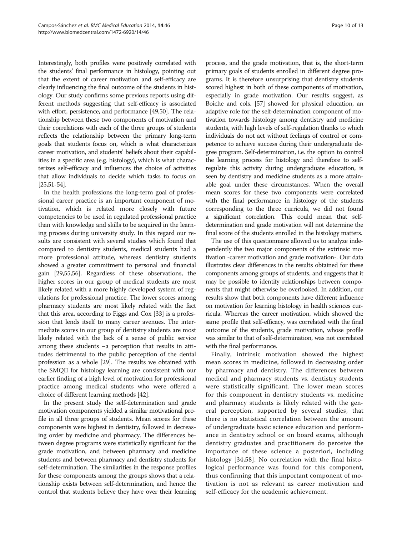Interestingly, both profiles were positively correlated with the students' final performance in histology, pointing out that the extent of career motivation and self-efficacy are clearly influencing the final outcome of the students in histology. Our study confirms some previous reports using different methods suggesting that self-efficacy is associated with effort, persistence, and performance [\[49](#page-11-0)[,50\]](#page-12-0). The relationship between these two components of motivation and their correlations with each of the three groups of students reflects the relationship between the primary long-term goals that students focus on, which is what characterizes career motivation, and students' beliefs about their capabilities in a specific area (e.g. histology), which is what characterizes self-efficacy and influences the choice of activities that allow individuals to decide which tasks to focus on [[25](#page-11-0)[,51-54](#page-12-0)].

In the health professions the long-term goal of professional career practice is an important component of motivation, which is related more closely with future competencies to be used in regulated professional practice than with knowledge and skills to be acquired in the learning process during university study. In this regard our results are consistent with several studies which found that compared to dentistry students, medical students had a more professional attitude, whereas dentistry students showed a greater commitment to personal and financial gain [\[29,](#page-11-0)[55](#page-12-0),[56](#page-12-0)]. Regardless of these observations, the higher scores in our group of medical students are most likely related with a more highly developed system of regulations for professional practice. The lower scores among pharmacy students are most likely related with the fact that this area, according to Figgs and Cox [\[33](#page-11-0)] is a profession that lends itself to many career avenues. The intermediate scores in our group of dentistry students are most likely related with the lack of a sense of public service among these students –a perception that results in attitudes detrimental to the public perception of the dental profession as a whole [[29](#page-11-0)]. The results we obtained with the SMQII for histology learning are consistent with our earlier finding of a high level of motivation for professional practice among medical students who were offered a choice of different learning methods [[42](#page-11-0)].

In the present study the self-determination and grade motivation components yielded a similar motivational profile in all three groups of students. Mean scores for these components were highest in dentistry, followed in decreasing order by medicine and pharmacy. The differences between degree programs were statistically significant for the grade motivation, and between pharmacy and medicine students and between pharmacy and dentistry students for self-determination. The similarities in the response profiles for these components among the groups shows that a relationship exists between self-determination, and hence the control that students believe they have over their learning

process, and the grade motivation, that is, the short-term primary goals of students enrolled in different degree programs. It is therefore unsurprising that dentistry students scored highest in both of these components of motivation, especially in grade motivation. Our results suggest, as Boiche and cols. [\[57\]](#page-12-0) showed for physical education, an adaptive role for the self-determination component of motivation towards histology among dentistry and medicine students, with high levels of self-regulation thanks to which individuals do not act without feelings of control or competence to achieve success during their undergraduate degree program. Self-determination, i.e. the option to control the learning process for histology and therefore to selfregulate this activity during undergraduate education, is seen by dentistry and medicine students as a more attainable goal under these circumstances. When the overall mean scores for these two components were correlated with the final performance in histology of the students corresponding to the three curricula, we did not found a significant correlation. This could mean that selfdetermination and grade motivation will not determine the final score of the students enrolled in the histology matters.

The use of this questionnaire allowed us to analyze independently the two major components of the extrinsic motivation -career motivation and grade motivation-. Our data illustrates clear differences in the results obtained for these components among groups of students, and suggests that it may be possible to identify relationships between components that might otherwise be overlooked. In addition, our results show that both components have different influence on motivation for learning histology in health sciences curricula. Whereas the career motivation, which showed the same profile that self-efficacy, was correlated with the final outcome of the students, grade motivation, whose profile was similar to that of self-determination, was not correlated with the final performance.

Finally, intrinsic motivation showed the highest mean scores in medicine, followed in decreasing order by pharmacy and dentistry. The differences between medical and pharmacy students vs. dentistry students were statistically significant. The lower mean scores for this component in dentistry students vs. medicine and pharmacy students is likely related with the general perception, supported by several studies, that there is no statistical correlation between the amount of undergraduate basic science education and performance in dentistry school or on board exams, although dentistry graduates and practitioners do perceive the importance of these science a posteriori, including histology [[34,](#page-11-0)[58](#page-12-0)]. No correlation with the final histological performance was found for this component, thus confirming that this important component of motivation is not as relevant as career motivation and self-efficacy for the academic achievement.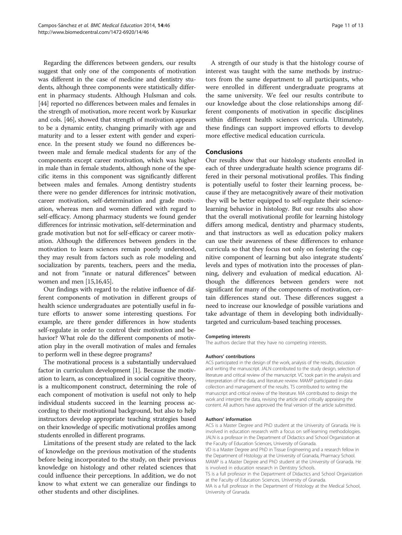Regarding the differences between genders, our results suggest that only one of the components of motivation was different in the case of medicine and dentistry students, although three components were statistically different in pharmacy students. Although Hulsman and cols. [[44](#page-11-0)] reported no differences between males and females in the strength of motivation, more recent work by Kusurkar and cols. [\[46\]](#page-11-0), showed that strength of motivation appears to be a dynamic entity, changing primarily with age and maturity and to a lesser extent with gender and experience. In the present study we found no differences between male and female medical students for any of the components except career motivation, which was higher in male than in female students, although none of the specific items in this component was significantly different between males and females. Among dentistry students there were no gender differences for intrinsic motivation, career motivation, self-determination and grade motivation, whereas men and women differed with regard to self-efficacy. Among pharmacy students we found gender differences for intrinsic motivation, self-determination and grade motivation but not for self-efficacy or career motivation. Although the differences between genders in the motivation to learn sciences remain poorly understood, they may result from factors such as role modeling and socialization by parents, teachers, peers and the media, and not from "innate or natural differences" between women and men [[15,16,45\]](#page-11-0).

Our findings with regard to the relative influence of different components of motivation in different groups of health science undergraduates are potentially useful in future efforts to answer some interesting questions. For example, are there gender differences in how students self-regulate in order to control their motivation and behavior? What role do the different components of motivation play in the overall motivation of males and females to perform well in these degree programs?

The motivational process is a substantially undervalued factor in curriculum development [[1](#page-11-0)]. Because the motivation to learn, as conceptualized in social cognitive theory, is a multicomponent construct, determining the role of each component of motivation is useful not only to help individual students succeed in the learning process according to their motivational background, but also to help instructors develop appropriate teaching strategies based on their knowledge of specific motivational profiles among students enrolled in different programs.

Limitations of the present study are related to the lack of knowledge on the previous motivation of the students before being incorporated to the study, on their previous knowledge on histology and other related sciences that could influence their perceptions. In addition, we do not know to what extent we can generalize our findings to other students and other disciplines.

A strength of our study is that the histology course of interest was taught with the same methods by instructors from the same department to all participants, who were enrolled in different undergraduate programs at the same university. We feel our results contribute to our knowledge about the close relationships among different components of motivation in specific disciplines within different health sciences curricula. Ultimately, these findings can support improved efforts to develop more effective medical education curricula.

## Conclusions

Our results show that our histology students enrolled in each of three undergraduate health science programs differed in their personal motivational profiles. This finding is potentially useful to foster their learning process, because if they are metacognitively aware of their motivation they will be better equipped to self-regulate their sciencelearning behavior in histology. But our results also show that the overall motivational profile for learning histology differs among medical, dentistry and pharmacy students, and that instructors as well as education policy makers can use their awareness of these differences to enhance curricula so that they focus not only on fostering the cognitive component of learning but also integrate students' levels and types of motivation into the processes of planning, delivery and evaluation of medical education. Although the differences between genders were not significant for many of the components of motivation, certain differences stand out. These differences suggest a need to increase our knowledge of possible variations and take advantage of them in developing both individuallytargeted and curriculum-based teaching processes.

#### Competing interests

The authors declare that they have no competing interests.

#### Authors' contributions

ACS participated in the design of the work, analysis of the results, discussion and writing the manuscript. JALN contributed to the study design, selection of literature and critical review of the manuscript. VC took part in the analysis and interpretation of the data, and literature review. MAMP participated in data collection and management of the results. TS contributed to writing the manuscript and critical review of the literature. MA contributed to design the work and interpret the data, revising the article and critically appraising the content. All authors have approved the final version of the article submitted.

#### Authors' information

ACS is a Master Degree and PhD student at the University of Granada. He is involved in education research with a focus on self-learning methodologies. JALN is a professor in the Department of Didactics and School Organization at the Faculty of Education Sciences, University of Granada.

VD is a Master Degree and PhD in Tissue Engineering and a research fellow in the Department of Histology at the University of Granada, Pharmacy School. MAMP is a Master Degree and PhD student at the University of Granada. He is involved in education research in Dentistry Schools.

TS is a full professor in the Department of Didactics and School Organization at the Faculty of Education Sciences, University of Granada.

MA is a full professor in the Department of Histology at the Medical School, University of Granada.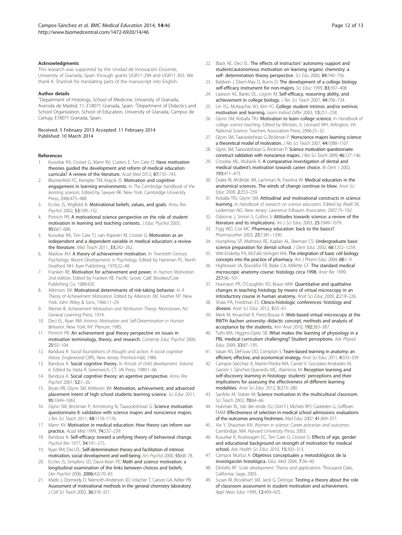#### <span id="page-11-0"></span>Acknowledgments

This research was supported by the Unidad de Innovación Docente, University of Granada, Spain through grants UGR11-294 and UGR11-303. We thank K. Shashok for translating parts of the manuscript into English.

#### Author details

<sup>1</sup>Department of Histology, School of Medicine, University of Granada, Avenida de Madrid, 11, E18071 Granada, Spain. <sup>2</sup>Department of Didactics and School Organization, School of Education, University of Granada, Campus de Cartuja, E18071 Granada, Spain.

#### Received: 5 February 2013 Accepted: 11 February 2014 Published: 10 March 2014

#### References

- Kusurkar RA, Croiset G, Mann KV, Custers E, Ten Cate O: Have motivation theories guided the development and reform of medical education curricula? A review of the literature. Acad Med 2012, 87:735–743.
- Blumenfeld PC, Kempler TM, Krajcik JS: Motivation and cognitive engagement in learning environments. In The Cambridge handbook of the learning sciences. Edited by Sawyer RK. New York: Cambridge University Press; 2006:475–488.
- Eccles JS, Wigfield A: Motivational beliefs, values, and goals. Annu Rev Psychol 2002, 53:109–132.
- Pintrich PR: A motivational science perspective on the role of student motivation in learning and teaching contexts. J Educ Psychol 2003, 95:667–686.
- Kusurkar RA, Ten Cate TJ, van Asperen M, Croiset G: Motivation as an independent and a dependent variable in medical education: a review the literature. Med Teach 2011, 33:242-262.
- Maslow AH: A theory of achievement motivation. In Twentieth Century Psychology: Recent Developments in Psychology. Edited by Harriman PL. North Stratford, NH: Ayer Publishing; 1970:22–48.
- 7. Franken RE: Motivation for achievement and power. In Human Motivation. 2nd edition. Edited by Franken RE. Pacific Grove, Calif: Brookes/Cole Publishing Co; 1988:420.
- 8. Atkinson JW: Motivational determinants of risk-taking behavior. In A Theory of Achievement Motivation. Edited by Atkinson JW, Feather NT. New York: John Wiley & Sons; 1966:11–29.
- 9. Weiner B: Achievement Motivation and Attribution Theory. Morristown, NJ: General Learning Press; 1974.
- 10. Deci EL, Ryan RM: Intrinsic Motivation and Self-Determination in Human Behavior. New York, NY: Plenum; 1985.
- 11. Pintrich PR: An achievement goal theory perspective on issues in motivation terminology, theory, and research. Contemp Educ Psychol 2000, 25:92–104.
- 12. Bandura A: Social foundations of thought and action: A social cognitive theory. Englewood Cliffs, New Jersey: Prentice-Hall; 1986.
- 13. Bandura A: Social cognitive theory. In Annals of child development. Volume 6. Edited by Vasta R. Greenwich, CT: JAI Press; 1989:1–66.
- 14. Bandura A: Social cognitive theory: an agentive perspective. Annu Rev Psychol 2001, 52:1–26.
- 15. Bryan RR, Glynn SM, Kittleson JM: Motivation, achievement, and advanced placement intent of high school students learning science. Sci Educ 2011, 95:1049–1063.
- 16. Glynn SM, Brickman P, Armstrong N, Taasoobshirazi G: Science motivation questionnaire II: validation with science majors and nonscience majors. J Res Sci Teach 2011, 48:1159-1176.
- 17. Mann KV: Motivation in medical education: How theory can inform our practice. Acad Med 1999, 74:237–239.
- 18. Bandura A: Self-efficacy: toward a unifying theory of behavioral change. Psychol Rev 1977, 34:191–215.
- 19. Ryan RM, Deci EL: Self-determination theory and facilitation of intrinsic motivation, social development and well-being. Am Psychol 2000, 55:68–78.
- 20. Eccles JS, Simpkins SD, Davis-Kean PE: Math and science motivation: a longitudinal examination of the links between choices and beliefs. Dev Psychol 2006, 2006(42):70–83.
- 21. Mazlo J, Dormedy D, Neimoth-Anderson JD, Urlacher T, Carson GA, Kelter PB: Assessment of motivational methods in the general chemistry laboratory. J Coll Sci Teach 2002, 36:318–321.
- 22. Black AE, Deci EL: The effects of instructors' autonomy support and students'autonomous motivation on learning organic chemistry: a self- determination theory perspective. Sci Edu 2000, 84:740-756.
- 23. Baldwin J, Ebert-May D, Burns D: The development of a college biology self-efficacy instrument for non-majors. Sci Educ 1999, 83:397–408.
- 24. Lawson AE, Banks DL, Logvin M: Self-efficacy, reasoning ability, and achievement in college biology. J Res Sci Teach 2007, 44:706–724.
- 25. Lin YG, McKeachie WJ, Kim YC: College student intrinsic and/or extrinsic motivation and learning. Learn Individ Differ 2003, 13:251–258.
- 26. Glynn SM, Koballa TRJ: Motivation to learn college science. In Handbook of college science teaching. Edited by Mintzes JJ, Leonard WH. Arlington, VA: National Science Teachers Association Press; 2006:25–32.
- 27. Glynn SM, Taasoobshirazi G, Brickman P: Nonscience majors learning science: a theoretical model of motivation. J Res Sci Teach 2007, 44:1088–1107.
- 28. Glynn SM, Taasoobshirazi G, Brickman P: Science motivation questionnaire: construct validation with nonscience majors. J Res Sci Teach 2009, 46:127–146.
- 29. Crossley ML, Mubarik A: A comparative investigation of dental and medical student's motivation towards career choice. Br Dent J 2002, 193:471–473.
- 30. Drake RI, McBride JM, Lachman N, Pawlina W: Medical education in the anatomical sciences. The winds of change continue to blow. Anat Sci Educ 2009, 2:253–259.
- 31. Koballa TRJ, Glynn SM: Attitudinal and motivational constructs in science learning. In Handbook of research on science education. Edited by Abell SK, Lederman NG. New Jersey: Lawrence Erlbaum Associates; 2007:75–102.
- 32. Osborne J, Simon S, Collins S: Attitudes towards science: a review of the literature and its implications. Int J Sci Educ 2003, 25:1049–1079.
- 33. Figg WD, Cox MC: Pharmacy education: back to the basics? Pharmacother 2003, 23:1381-1390.
- 34. Humphrey SP, Mathews RE, Kaplan AL, Beeman CS: Undergraduate basic science preparation for dental school. J Dent Educ 2002, 66:1252-1259.
- 35. Witt-Enderby PA, McFalls-Stringert MA: The integration of basic cell biology concepts into the practice of pharmacy. Am J Pharm Educ 2004, 68:1-9.
- 36. Hightower JA, Boockfor FR, Blake CA, Millette CF: The standard medical microscopic anatomy course: histology circa 1998. Anat Rec 1999, 257:96–101.
- 37. Husmann PR, O'Loughlin VD, Braun MW: Quantitative and qualitative changes in teaching histology by means of virtual microscopy in an introductory course in human anatomy. Anat Sci Educ 2009, 2:218–226.
- 38. Shaw PA, Friedman ES: Clinico-histologic conferences: histology and disease. Anat Sci Educ 2012, 5:55-61.
- 39. Merk M, Knuechel R, Perez-Bouza A: Web-based virtual microscopy at the RWTH Aachen university: didactic concept, methods and analysis of acceptance by the students. Ann Anat 2010, 192:383–387.
- 40. Tufts MA, Higgins-Opitz SB: What makes the learning of physiology in a PBL medical curriculum challenging? Student perceptions. Adv Physiol Educ 2009, 33:87–195.
- 41. Vasan NS, DeFouw DO, Compton S: Team-based learning in anatomy: an efficient, effective, and economical strategy. Anat Sci Educ 2011, 4:333–339.
- 42. Campos-Sánchez A, Martín-Piedra MA, Carriel V, González-Andrades M, Garzón I, Sánchez-Quevedo MC, Alaminos M: Reception learning and self-discovery learning in histology: students' perceptions and their implications for assessing the effectiveness of different learning modalities. Anat Sci Educ 2012, 5:273–280.
- 43. Sanfeliz M, Stalzer M: Science motivation in the multicultural classroom. Sci Teach 2003, 70:64–66.
- 44. Hulsman RL, Van der einde JSJ, Oort FJ, Michels RPJ, Casteelen G, Griffioen FMM: Effectiveness of selection in medical school admissions: evaluations of the outcomes among freshmen. Med Educ 2007, 41:369–377.
- 45. Xie Y, Shauman KA: Women in science: Career processes and outcomes. Cambridge, MA: Harvard University Press; 2003.
- 46. Kusurkar R, Kruitwagen EC, Ten Cate O, Croiset G: Effects of age, gender and educational background on strength of motivation for medical school. Adv Health Sci Educ 2010, 15:303–313.
- 47. Campos Muñoz A: Objetivos conceptuales y metodológicos de la investigación histológica. Educ Med 2004, 7:36–40.
- 48. DeVellis RF: Scale development: Theory and applications. Thousand Oaks, California: Sage; 2003.
- 49. Susan M, Brookhart SM, Jarol G, DeVoge: Testing a theory about the role of classroom assessment in student motivation and achievement. Appl Meas Educ 1999, 12:409–425.